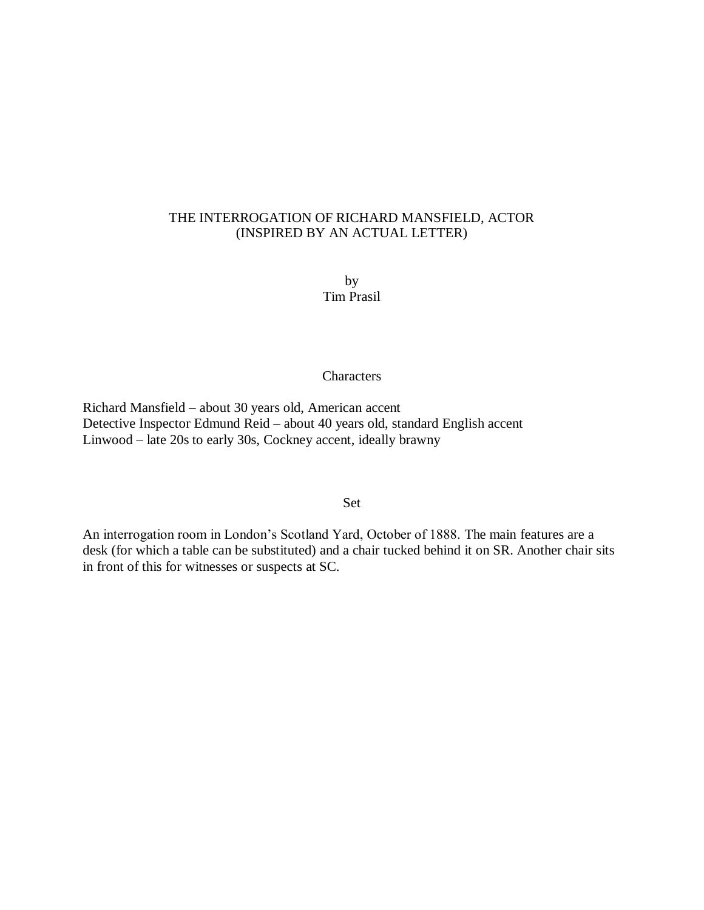# THE INTERROGATION OF RICHARD MANSFIELD, ACTOR (INSPIRED BY AN ACTUAL LETTER)

by Tim Prasil

#### **Characters**

Richard Mansfield – about 30 years old, American accent Detective Inspector Edmund Reid – about 40 years old, standard English accent Linwood – late 20s to early 30s, Cockney accent, ideally brawny

# Set

An interrogation room in London's Scotland Yard, October of 1888. The main features are a desk (for which a table can be substituted) and a chair tucked behind it on SR. Another chair sits in front of this for witnesses or suspects at SC.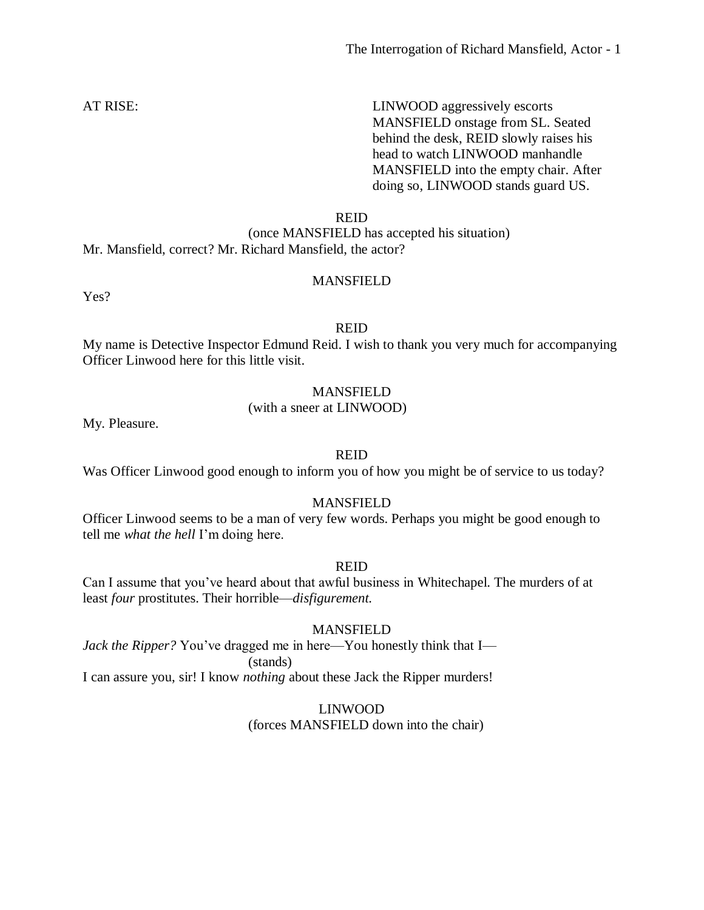AT RISE: LINWOOD aggressively escorts MANSFIELD onstage from SL. Seated behind the desk, REID slowly raises his head to watch LINWOOD manhandle MANSFIELD into the empty chair. After doing so, LINWOOD stands guard US.

REID

(once MANSFIELD has accepted his situation) Mr. Mansfield, correct? Mr. Richard Mansfield, the actor?

# MANSFIELD

Yes?

#### REID

My name is Detective Inspector Edmund Reid. I wish to thank you very much for accompanying Officer Linwood here for this little visit.

# MANSFIELD

#### (with a sneer at LINWOOD)

My. Pleasure.

#### REID

Was Officer Linwood good enough to inform you of how you might be of service to us today?

#### MANSFIELD

Officer Linwood seems to be a man of very few words. Perhaps you might be good enough to tell me *what the hell* I'm doing here.

#### REID

Can I assume that you've heard about that awful business in Whitechapel. The murders of at least *four* prostitutes. Their horrible—*disfigurement.*

#### MANSFIELD

*Jack the Ripper?* You've dragged me in here—You honestly think that I— (stands)

I can assure you, sir! I know *nothing* about these Jack the Ripper murders!

LINWOOD

(forces MANSFIELD down into the chair)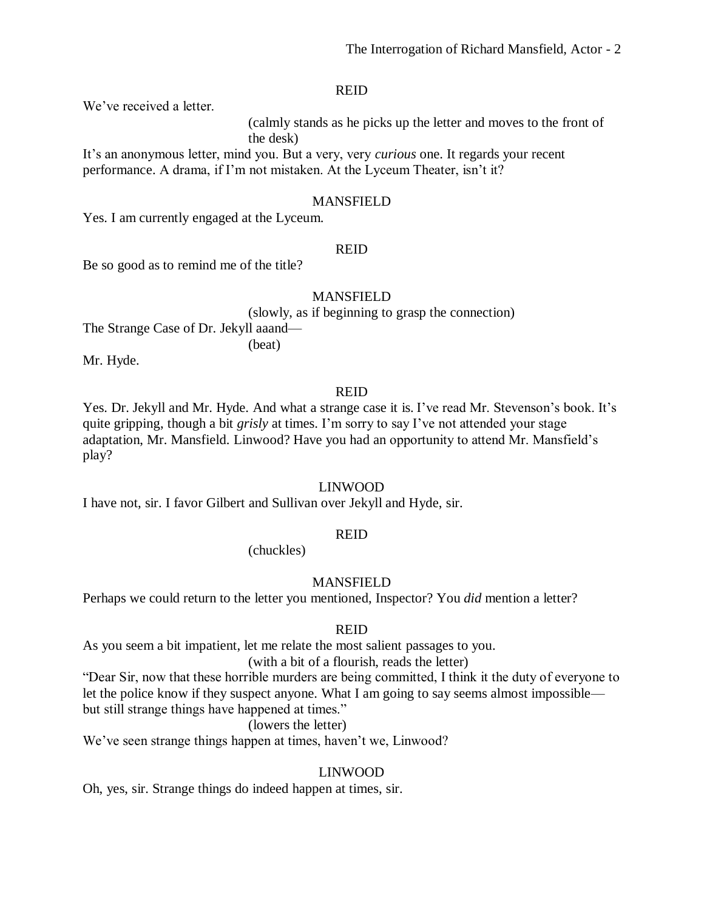We've received a letter.

(calmly stands as he picks up the letter and moves to the front of the desk)

It's an anonymous letter, mind you. But a very, very *curious* one. It regards your recent performance. A drama, if I'm not mistaken. At the Lyceum Theater, isn't it?

### MANSFIELD

Yes. I am currently engaged at the Lyceum.

#### REID

Be so good as to remind me of the title?

#### MANSFIELD

(slowly, as if beginning to grasp the connection)

The Strange Case of Dr. Jekyll aaand—

Mr. Hyde.

# REID

Yes. Dr. Jekyll and Mr. Hyde. And what a strange case it is. I've read Mr. Stevenson's book. It's quite gripping, though a bit *grisly* at times. I'm sorry to say I've not attended your stage adaptation, Mr. Mansfield. Linwood? Have you had an opportunity to attend Mr. Mansfield's play?

# LINWOOD

I have not, sir. I favor Gilbert and Sullivan over Jekyll and Hyde, sir.

(beat)

# REID

(chuckles)

# MANSFIELD

Perhaps we could return to the letter you mentioned, Inspector? You *did* mention a letter?

# REID

As you seem a bit impatient, let me relate the most salient passages to you.

#### (with a bit of a flourish, reads the letter)

"Dear Sir, now that these horrible murders are being committed, I think it the duty of everyone to let the police know if they suspect anyone. What I am going to say seems almost impossible but still strange things have happened at times."

# (lowers the letter)

We've seen strange things happen at times, haven't we, Linwood?

# LINWOOD

Oh, yes, sir. Strange things do indeed happen at times, sir.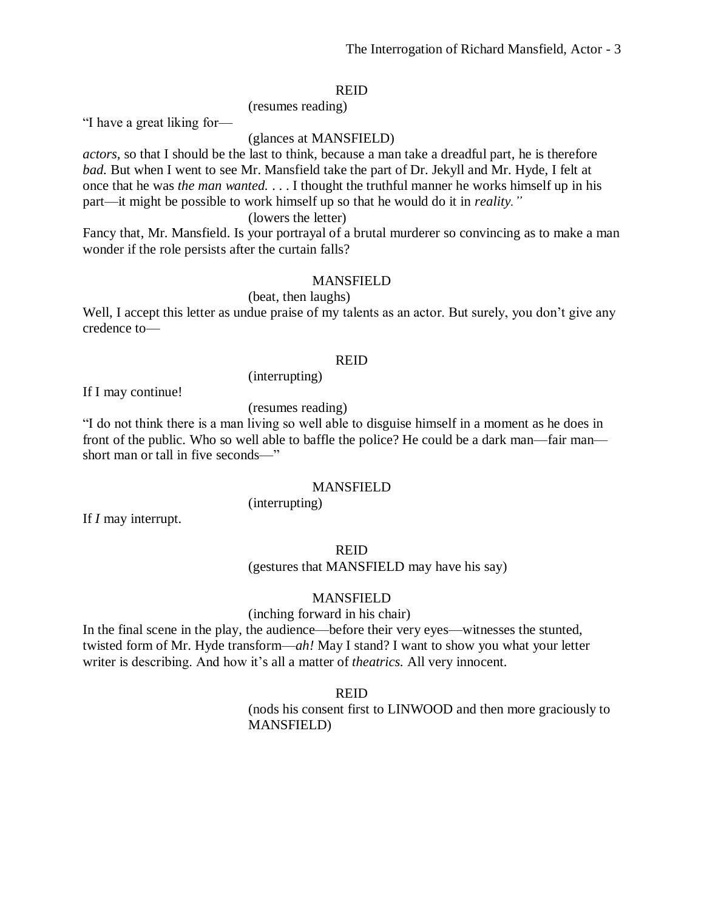"I have a great liking for—

#### (glances at MANSFIELD)

*actors,* so that I should be the last to think, because a man take a dreadful part, he is therefore *bad.* But when I went to see Mr. Mansfield take the part of Dr. Jekyll and Mr. Hyde, I felt at once that he was *the man wanted.* . . . I thought the truthful manner he works himself up in his part—it might be possible to work himself up so that he would do it in *reality."*

(lowers the letter)

(resumes reading)

Fancy that, Mr. Mansfield. Is your portrayal of a brutal murderer so convincing as to make a man wonder if the role persists after the curtain falls?

#### MANSFIELD

(beat, then laughs)

Well, I accept this letter as undue praise of my talents as an actor. But surely, you don't give any credence to—

# REID

If I may continue!

(resumes reading)

(interrupting)

"I do not think there is a man living so well able to disguise himself in a moment as he does in front of the public. Who so well able to baffle the police? He could be a dark man—fair man short man or tall in five seconds—"

#### MANSFIELD

(interrupting)

If *I* may interrupt.

#### REID

(gestures that MANSFIELD may have his say)

#### MANSFIELD

(inching forward in his chair)

In the final scene in the play, the audience—before their very eyes—witnesses the stunted, twisted form of Mr. Hyde transform—*ah!* May I stand? I want to show you what your letter writer is describing. And how it's all a matter of *theatrics.* All very innocent*.*

REID

(nods his consent first to LINWOOD and then more graciously to MANSFIELD)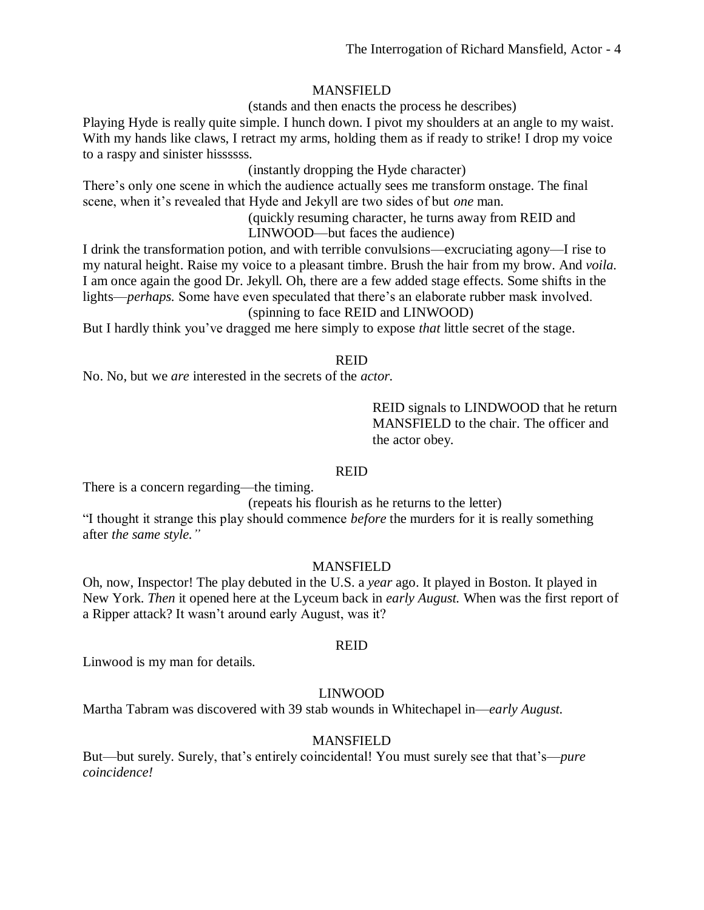# MANSFIELD

(stands and then enacts the process he describes)

Playing Hyde is really quite simple. I hunch down. I pivot my shoulders at an angle to my waist. With my hands like claws, I retract my arms, holding them as if ready to strike! I drop my voice to a raspy and sinister hissssss.

(instantly dropping the Hyde character)

There's only one scene in which the audience actually sees me transform onstage. The final scene, when it's revealed that Hyde and Jekyll are two sides of but *one* man.

> (quickly resuming character, he turns away from REID and LINWOOD—but faces the audience)

I drink the transformation potion, and with terrible convulsions—excruciating agony—I rise to my natural height. Raise my voice to a pleasant timbre. Brush the hair from my brow. And *voila.* I am once again the good Dr. Jekyll. Oh, there are a few added stage effects. Some shifts in the lights—*perhaps.* Some have even speculated that there's an elaborate rubber mask involved. (spinning to face REID and LINWOOD)

But I hardly think you've dragged me here simply to expose *that* little secret of the stage.

# REID

No. No, but we *are* interested in the secrets of the *actor.*

REID signals to LINDWOOD that he return MANSFIELD to the chair. The officer and the actor obey.

# REID

There is a concern regarding—the timing.

(repeats his flourish as he returns to the letter)

"I thought it strange this play should commence *before* the murders for it is really something after *the same style."*

# MANSFIELD

Oh, now, Inspector! The play debuted in the U.S. a *year* ago. It played in Boston. It played in New York. *Then* it opened here at the Lyceum back in *early August.* When was the first report of a Ripper attack? It wasn't around early August, was it?

#### REID

Linwood is my man for details.

# LINWOOD

Martha Tabram was discovered with 39 stab wounds in Whitechapel in—*early August.*

# MANSFIELD

But—but surely. Surely, that's entirely coincidental! You must surely see that that's—*pure coincidence!*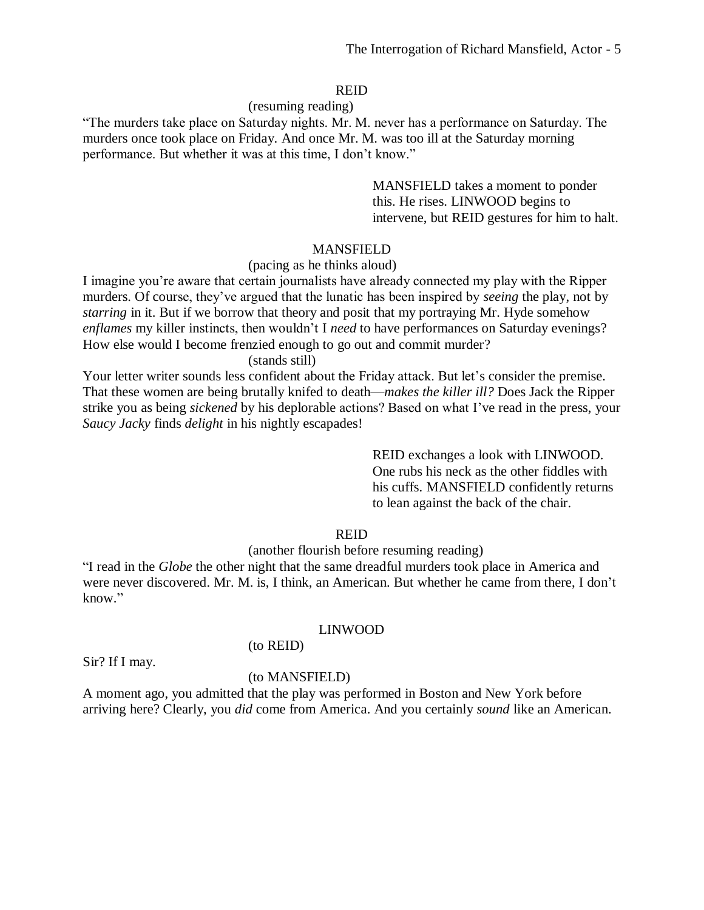#### (resuming reading)

"The murders take place on Saturday nights. Mr. M. never has a performance on Saturday. The murders once took place on Friday. And once Mr. M. was too ill at the Saturday morning performance. But whether it was at this time, I don't know."

> MANSFIELD takes a moment to ponder this. He rises. LINWOOD begins to intervene, but REID gestures for him to halt.

# **MANSFIELD**

# (pacing as he thinks aloud)

I imagine you're aware that certain journalists have already connected my play with the Ripper murders. Of course, they've argued that the lunatic has been inspired by *seeing* the play, not by *starring* in it. But if we borrow that theory and posit that my portraying Mr. Hyde somehow *enflames* my killer instincts, then wouldn't I *need* to have performances on Saturday evenings? How else would I become frenzied enough to go out and commit murder?

(stands still)

Your letter writer sounds less confident about the Friday attack. But let's consider the premise. That these women are being brutally knifed to death—*makes the killer ill?* Does Jack the Ripper strike you as being *sickened* by his deplorable actions? Based on what I've read in the press, your *Saucy Jacky* finds *delight* in his nightly escapades!

> REID exchanges a look with LINWOOD. One rubs his neck as the other fiddles with his cuffs. MANSFIELD confidently returns to lean against the back of the chair.

# REID

# (another flourish before resuming reading)

"I read in the *Globe* the other night that the same dreadful murders took place in America and were never discovered. Mr. M. is, I think, an American. But whether he came from there, I don't know."

#### LINWOOD

#### (to REID)

Sir? If I may.

#### (to MANSFIELD)

A moment ago, you admitted that the play was performed in Boston and New York before arriving here? Clearly, you *did* come from America. And you certainly *sound* like an American.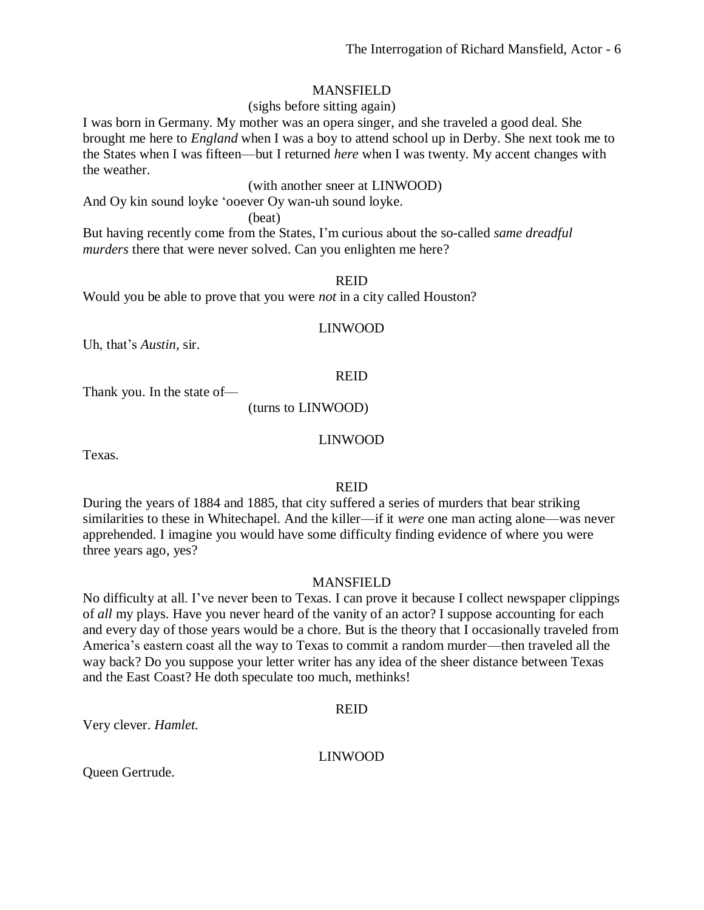# MANSFIELD

# (sighs before sitting again)

I was born in Germany. My mother was an opera singer, and she traveled a good deal. She brought me here to *England* when I was a boy to attend school up in Derby. She next took me to the States when I was fifteen—but I returned *here* when I was twenty. My accent changes with the weather.

(with another sneer at LINWOOD)

And Oy kin sound loyke 'ooever Oy wan-uh sound loyke.

(beat)

But having recently come from the States, I'm curious about the so-called *same dreadful murders* there that were never solved. Can you enlighten me here?

#### REID

Would you be able to prove that you were *not* in a city called Houston?

#### LINWOOD

Uh, that's *Austin,* sir.

#### REID

Thank you. In the state of—

(turns to LINWOOD)

#### LINWOOD

Texas.

# REID

During the years of 1884 and 1885, that city suffered a series of murders that bear striking similarities to these in Whitechapel. And the killer—if it *were* one man acting alone—was never apprehended. I imagine you would have some difficulty finding evidence of where you were three years ago, yes?

# MANSFIELD

No difficulty at all. I've never been to Texas. I can prove it because I collect newspaper clippings of *all* my plays. Have you never heard of the vanity of an actor? I suppose accounting for each and every day of those years would be a chore. But is the theory that I occasionally traveled from America's eastern coast all the way to Texas to commit a random murder—then traveled all the way back? Do you suppose your letter writer has any idea of the sheer distance between Texas and the East Coast? He doth speculate too much, methinks!

# REID

Very clever. *Hamlet.*

# LINWOOD

Queen Gertrude.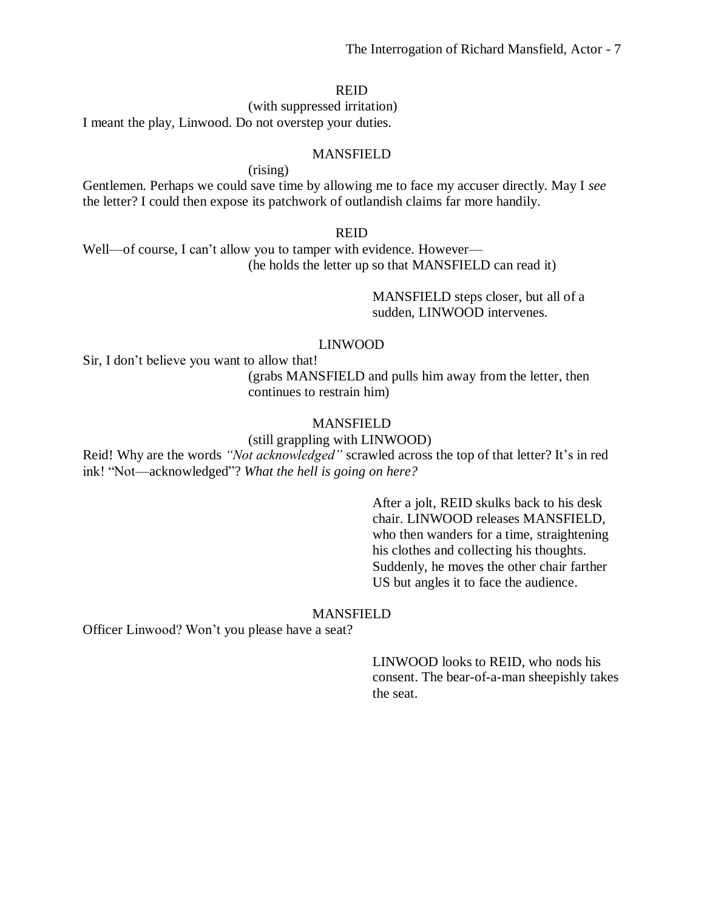(with suppressed irritation) I meant the play, Linwood. Do not overstep your duties.

### MANSFIELD

(rising)

Gentlemen. Perhaps we could save time by allowing me to face my accuser directly. May I *see* the letter? I could then expose its patchwork of outlandish claims far more handily.

#### REID

Well—of course, I can't allow you to tamper with evidence. However— (he holds the letter up so that MANSFIELD can read it)

> MANSFIELD steps closer, but all of a sudden, LINWOOD intervenes.

#### LINWOOD

Sir, I don't believe you want to allow that!

(grabs MANSFIELD and pulls him away from the letter, then continues to restrain him)

# MANSFIELD

### (still grappling with LINWOOD)

Reid! Why are the words *"Not acknowledged"* scrawled across the top of that letter? It's in red ink! "Not—acknowledged"? *What the hell is going on here?*

> After a jolt, REID skulks back to his desk chair. LINWOOD releases MANSFIELD, who then wanders for a time, straightening his clothes and collecting his thoughts. Suddenly, he moves the other chair farther US but angles it to face the audience.

#### MANSFIELD

Officer Linwood? Won't you please have a seat?

LINWOOD looks to REID, who nods his consent. The bear-of-a-man sheepishly takes the seat.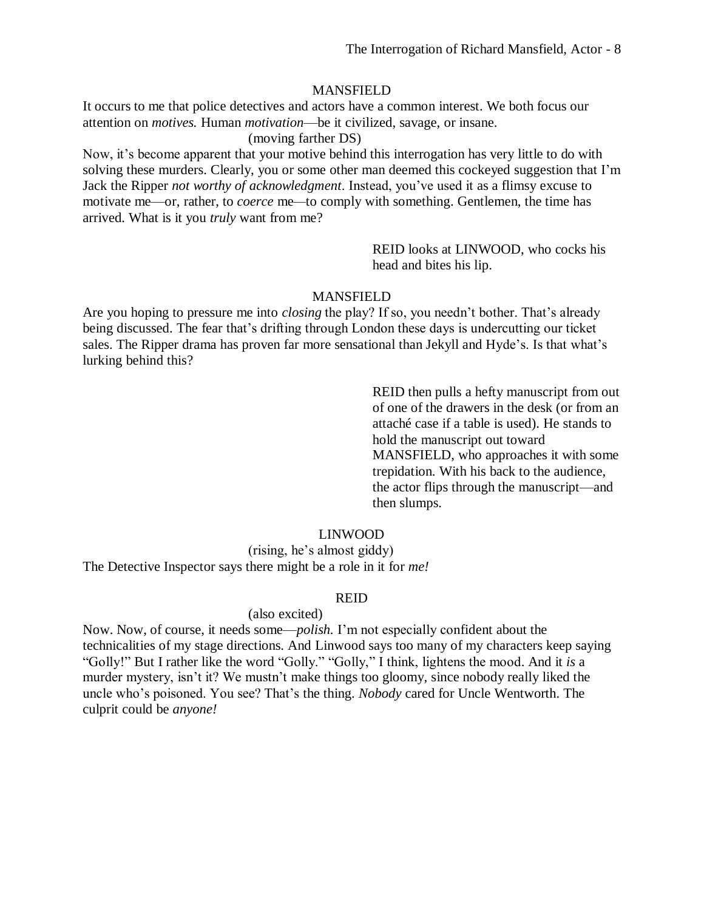### MANSFIELD

It occurs to me that police detectives and actors have a common interest. We both focus our attention on *motives.* Human *motivation*—be it civilized, savage, or insane.

(moving farther DS)

Now, it's become apparent that your motive behind this interrogation has very little to do with solving these murders. Clearly, you or some other man deemed this cockeyed suggestion that I'm Jack the Ripper *not worthy of acknowledgment*. Instead, you've used it as a flimsy excuse to motivate me—or, rather, to *coerce* me*—*to comply with something. Gentlemen, the time has arrived. What is it you *truly* want from me?

> REID looks at LINWOOD, who cocks his head and bites his lip.

# MANSFIELD

Are you hoping to pressure me into *closing* the play? If so, you needn't bother. That's already being discussed. The fear that's drifting through London these days is undercutting our ticket sales. The Ripper drama has proven far more sensational than Jekyll and Hyde's. Is that what's lurking behind this?

> REID then pulls a hefty manuscript from out of one of the drawers in the desk (or from an attaché case if a table is used). He stands to hold the manuscript out toward MANSFIELD, who approaches it with some trepidation. With his back to the audience, the actor flips through the manuscript—and then slumps.

# LINWOOD

(rising, he's almost giddy) The Detective Inspector says there might be a role in it for *me!*

# REID

#### (also excited)

Now. Now, of course, it needs some—*polish.* I'm not especially confident about the technicalities of my stage directions. And Linwood says too many of my characters keep saying "Golly!" But I rather like the word "Golly." "Golly," I think, lightens the mood. And it *is* a murder mystery, isn't it? We mustn't make things too gloomy, since nobody really liked the uncle who's poisoned. You see? That's the thing. *Nobody* cared for Uncle Wentworth. The culprit could be *anyone!*